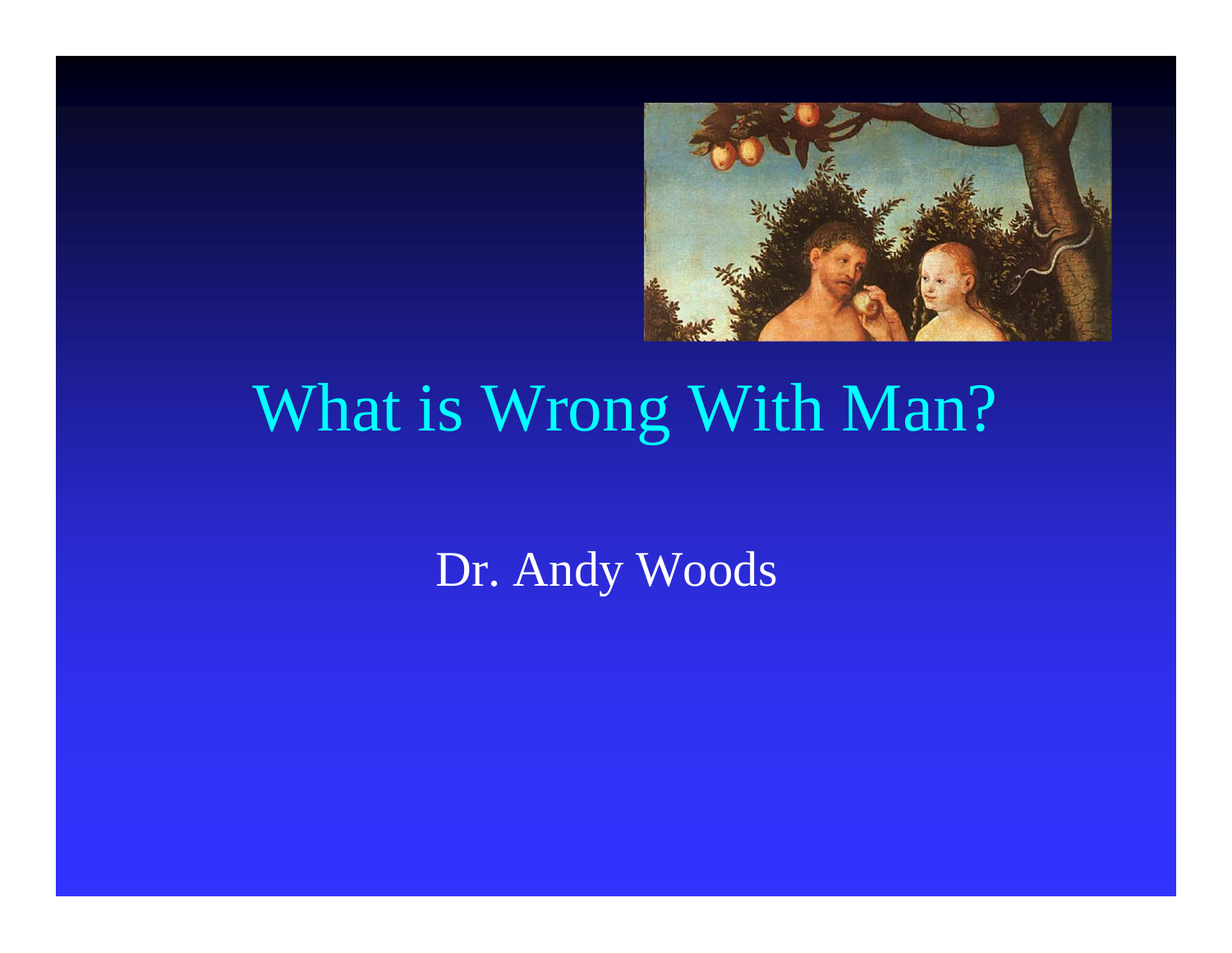

# What is Wrong With Man?

Dr. Andy Woods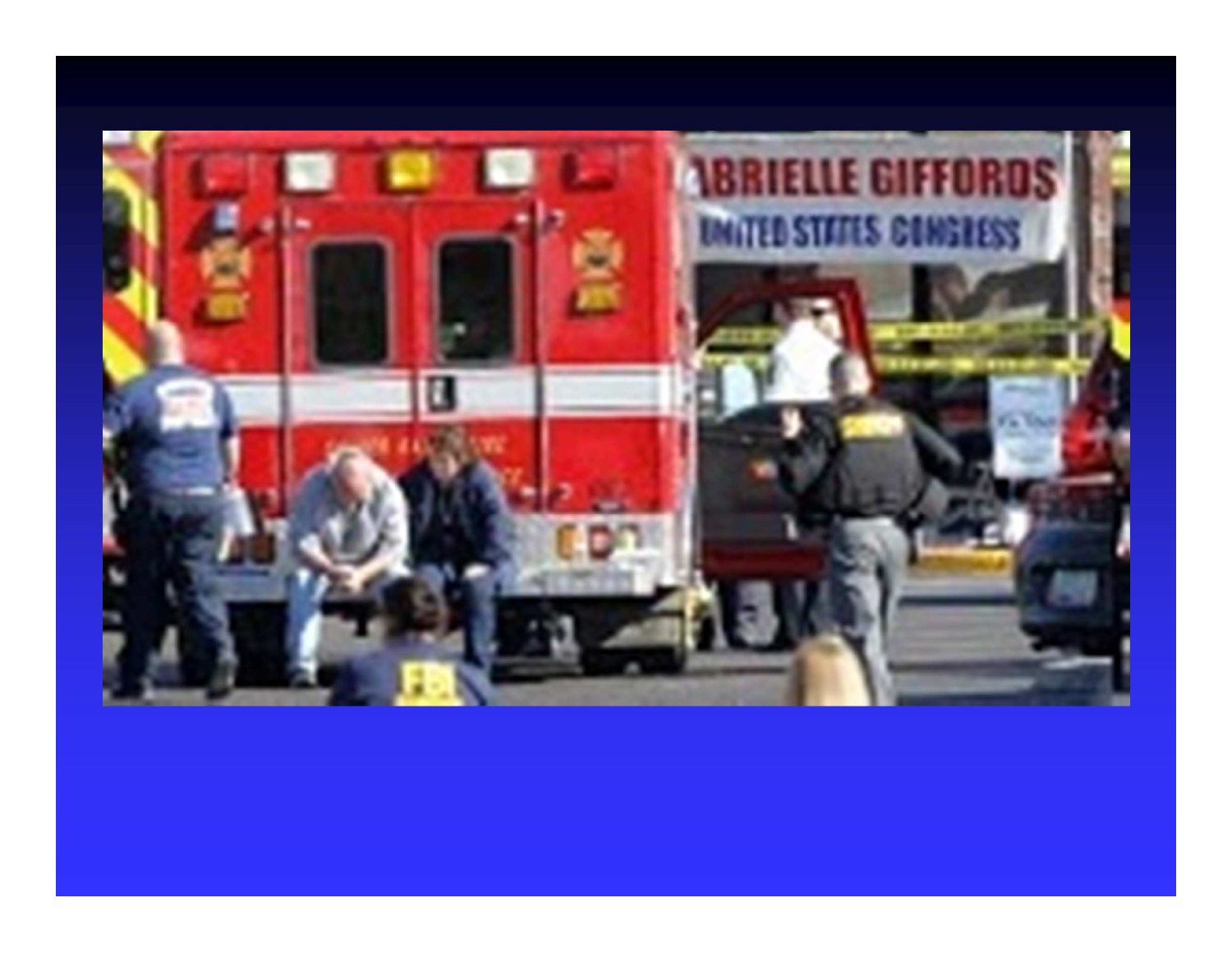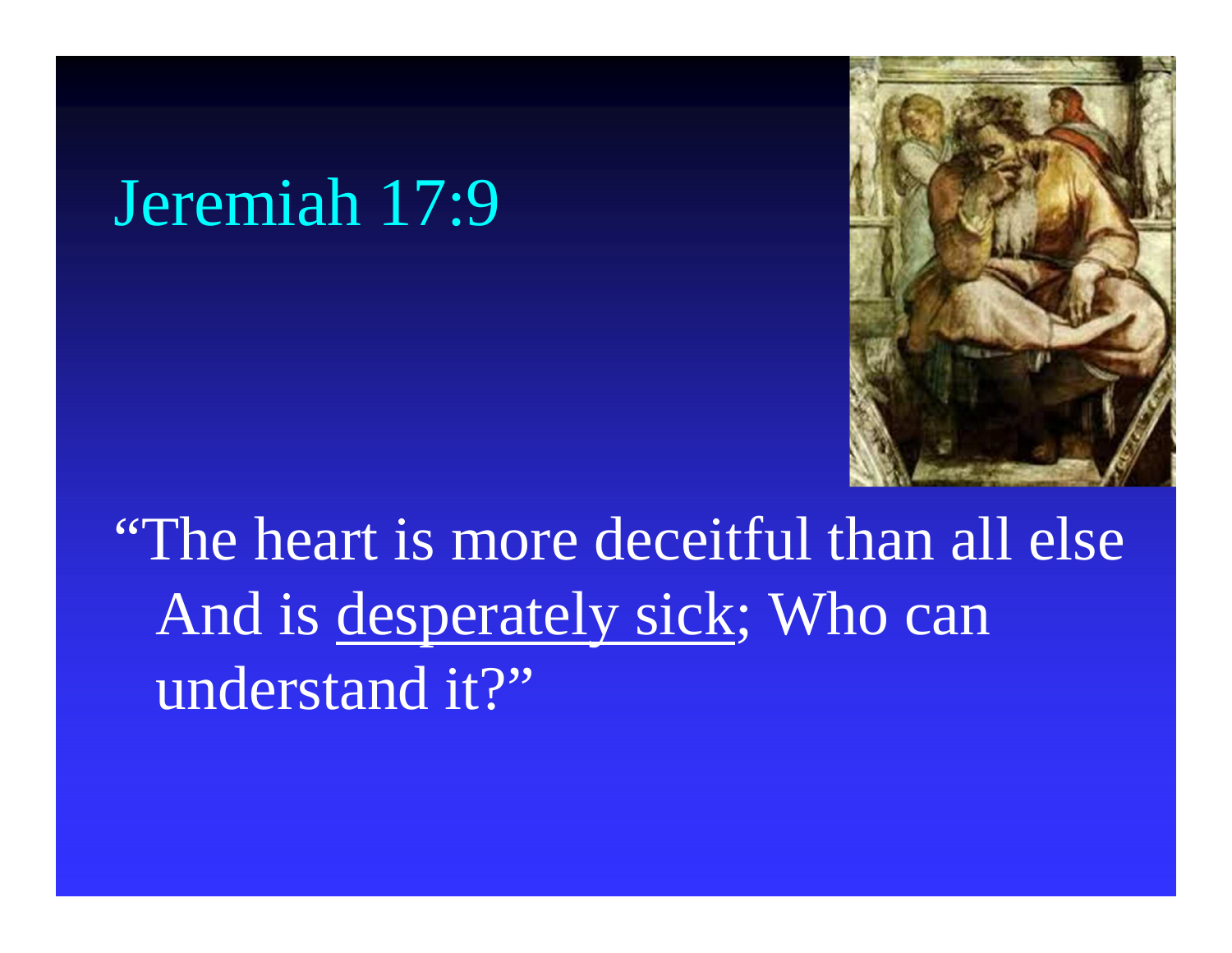#### Jeremiah 17:9



# "The heart is more deceitful than all else And is desperately sick; Who can understand it?"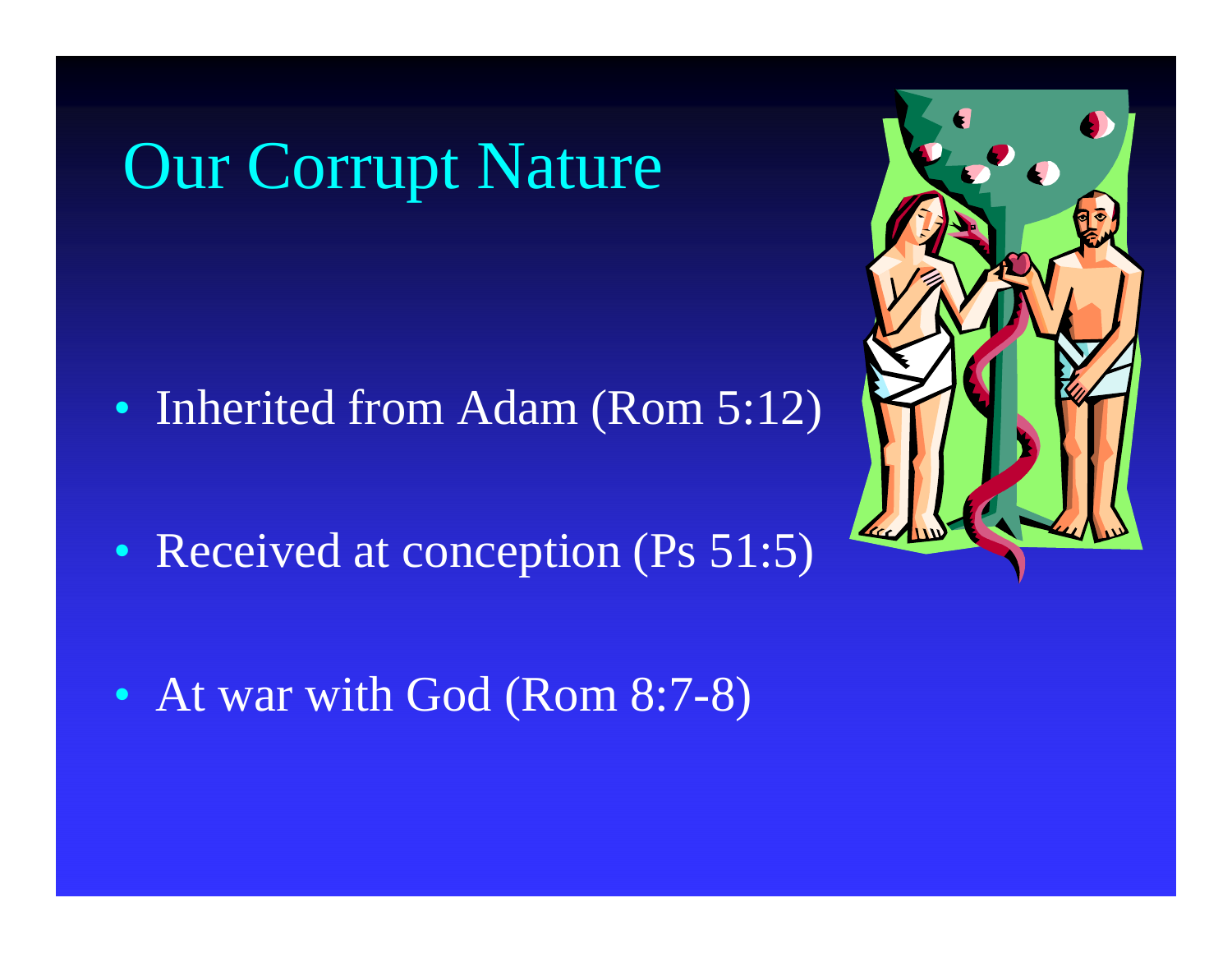## Our Corrupt Nature

- Inherited from Adam (Rom 5:12)
- Received at conception (Ps 51:5)
- At war with God (Rom 8:7-8)

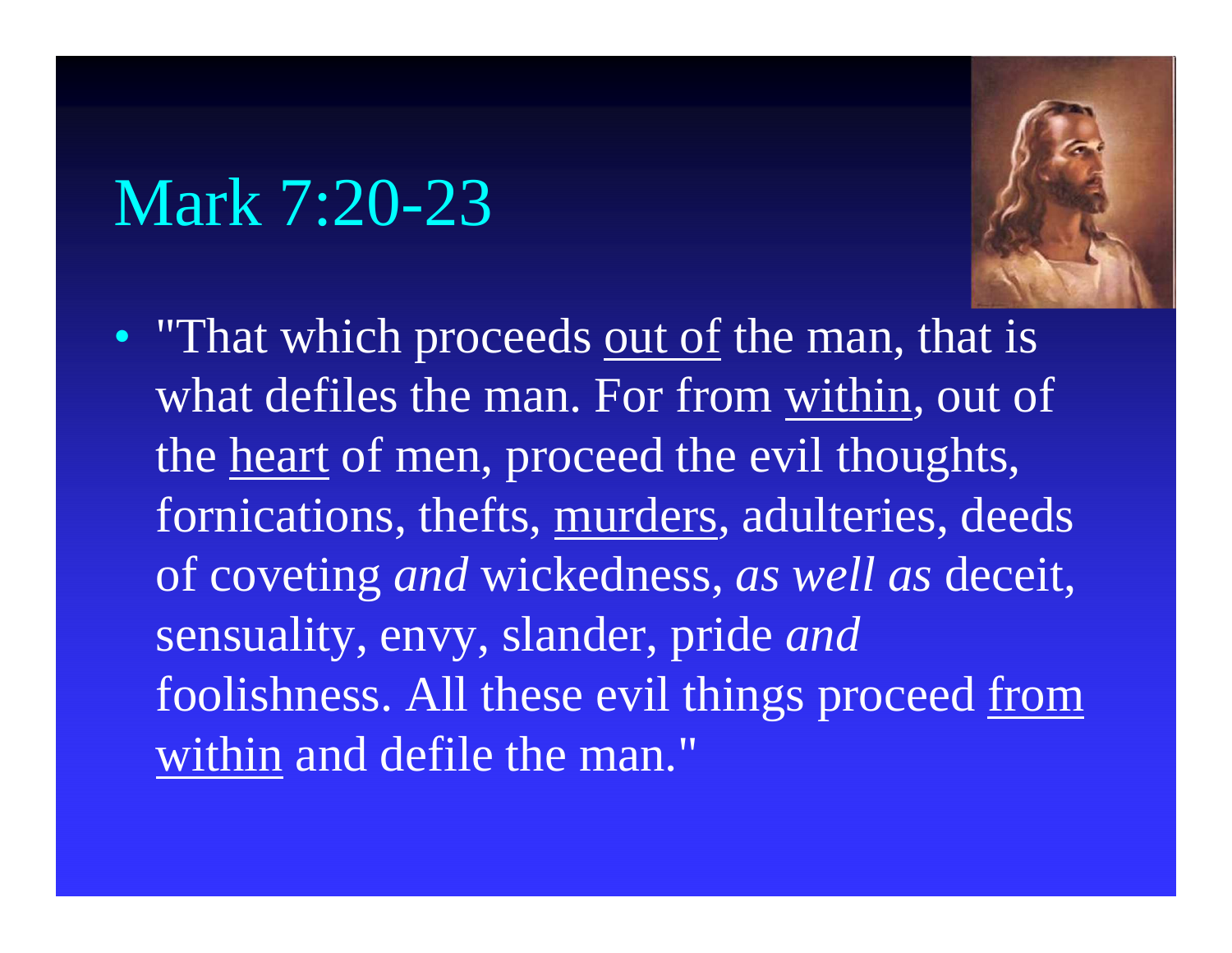## Mark 7:20-23



• "That which proceeds <u>out of</u> the man, that is what defiles the man. For from within, out of the heart of men, proceed the evil thoughts, fornications, thefts, murders, adulteries, deeds of coveting *and* wickedness, *as well as* deceit, sensuality, envy, slander, pride *and*foolishness. All these evil things proceed from within and defile the man."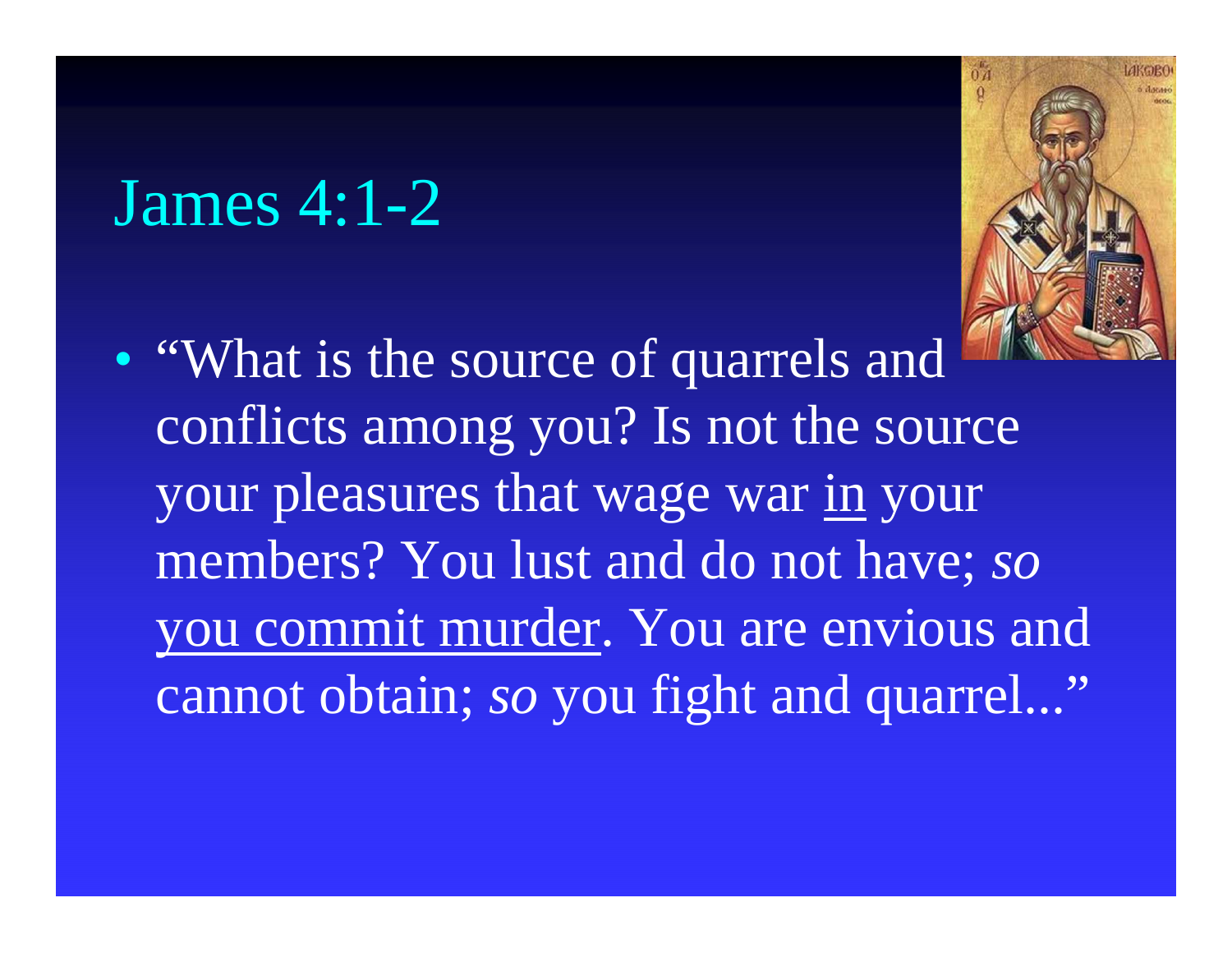#### James 4:1-2



• "What is the source of quarrels and conflicts among you? Is not the source your pleasures that wage war in your members? You lust and do not have; *so* you commit murder. You are envious and cannot obtain; *so* you fight and quarrel..."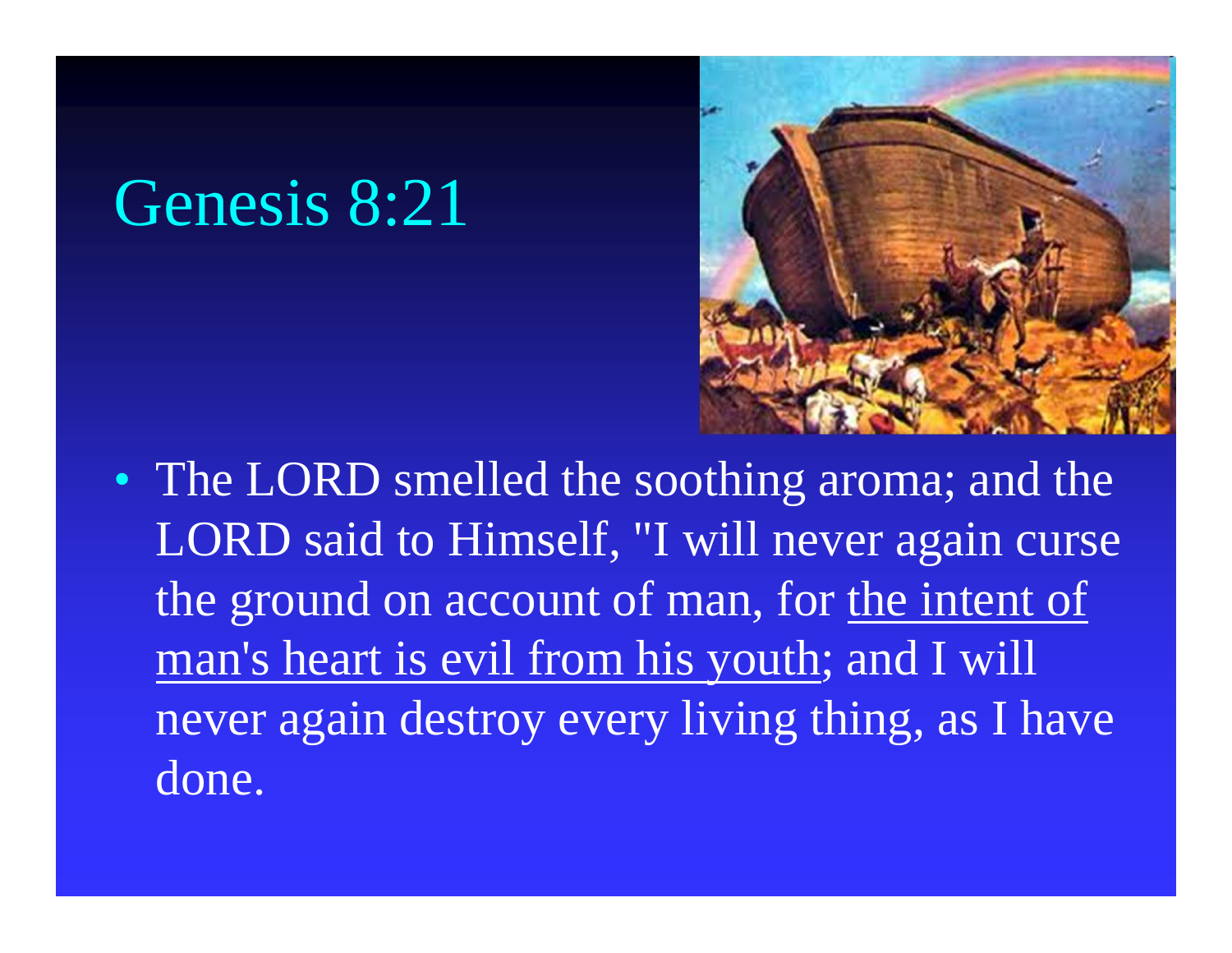#### Genesis 8:21



• The LORD smelled the soothing aroma; and the LORD said to Himself, "I will never again curse the ground on account of man, for the intent of man's heart is evil from his youth; and I will never again destroy every living thing, as I have done.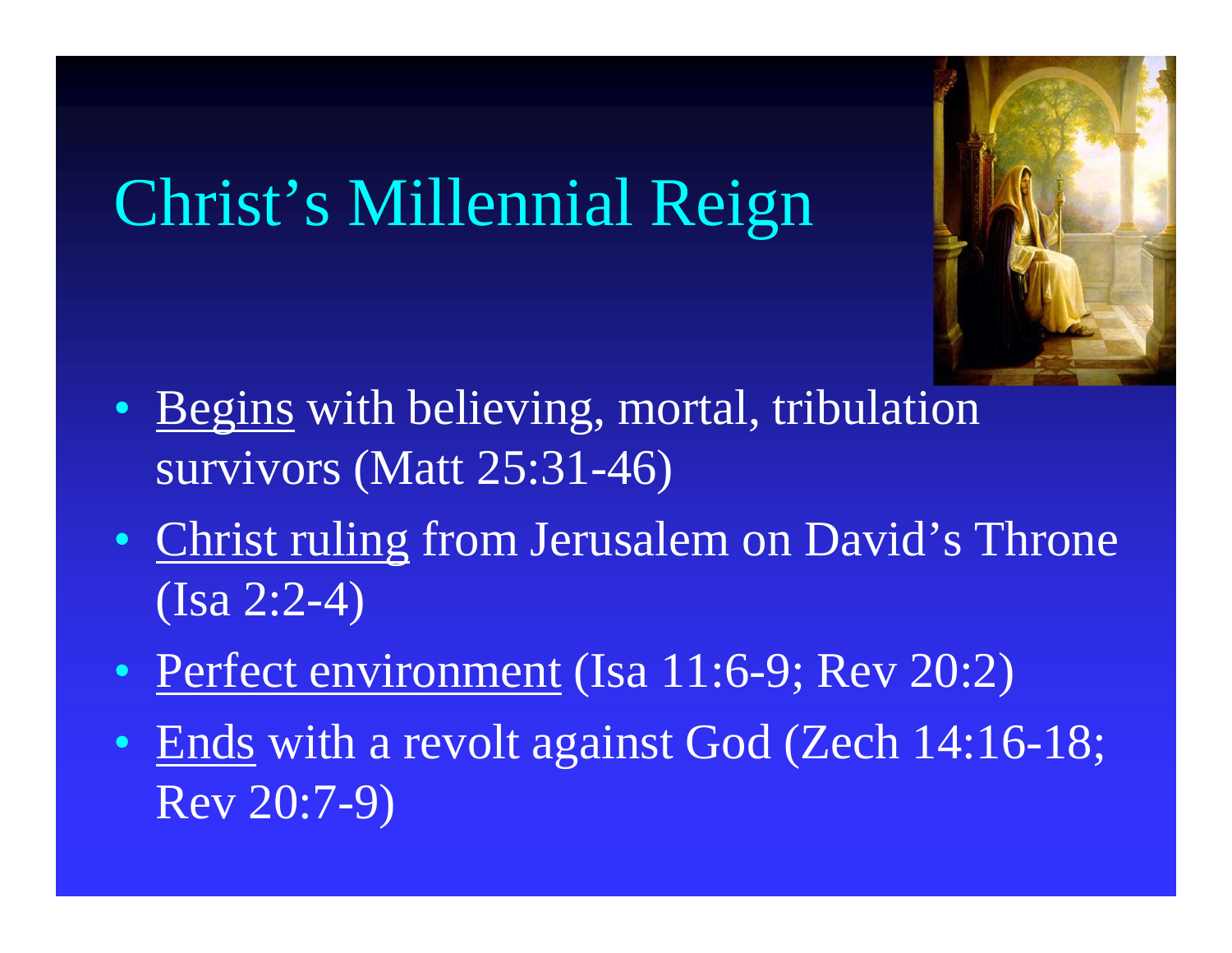# Christ's Millennial Reign



- Begins with believing, mortal, tribulation survivors (Matt 25:31-46)
- Christ ruling from Jerusalem on David's Throne (Isa 2:2-4)
- <u>Perfect environment</u> (Isa 11:6-9; Rev 20:2)
- • Ends with a revolt against God (Zech 14:16-18; Rev 20:7-9)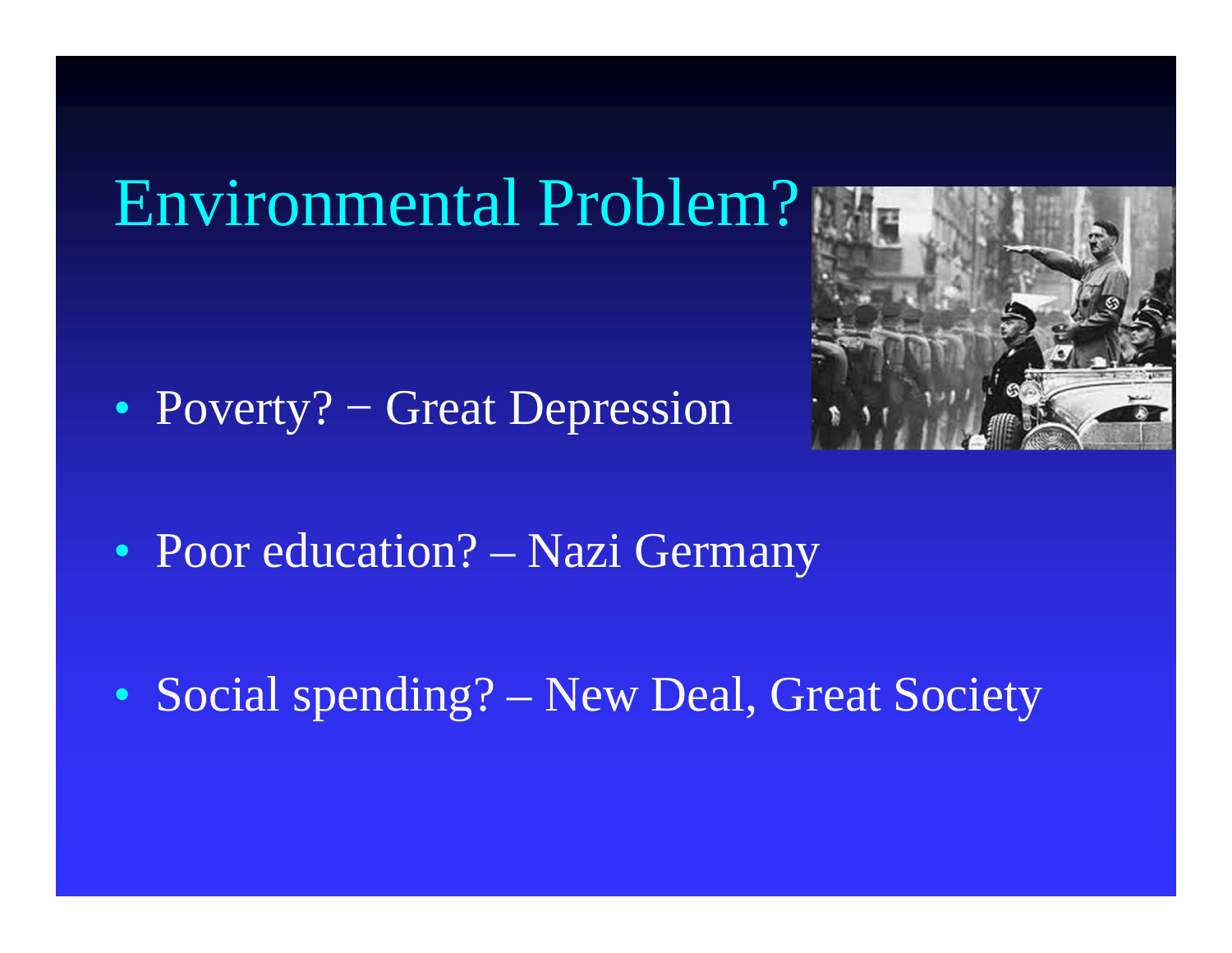## Environmental Problem?

• Poverty? – Great Depression



- Poor education? Nazi Germany
- Social spending? New Deal, Great Society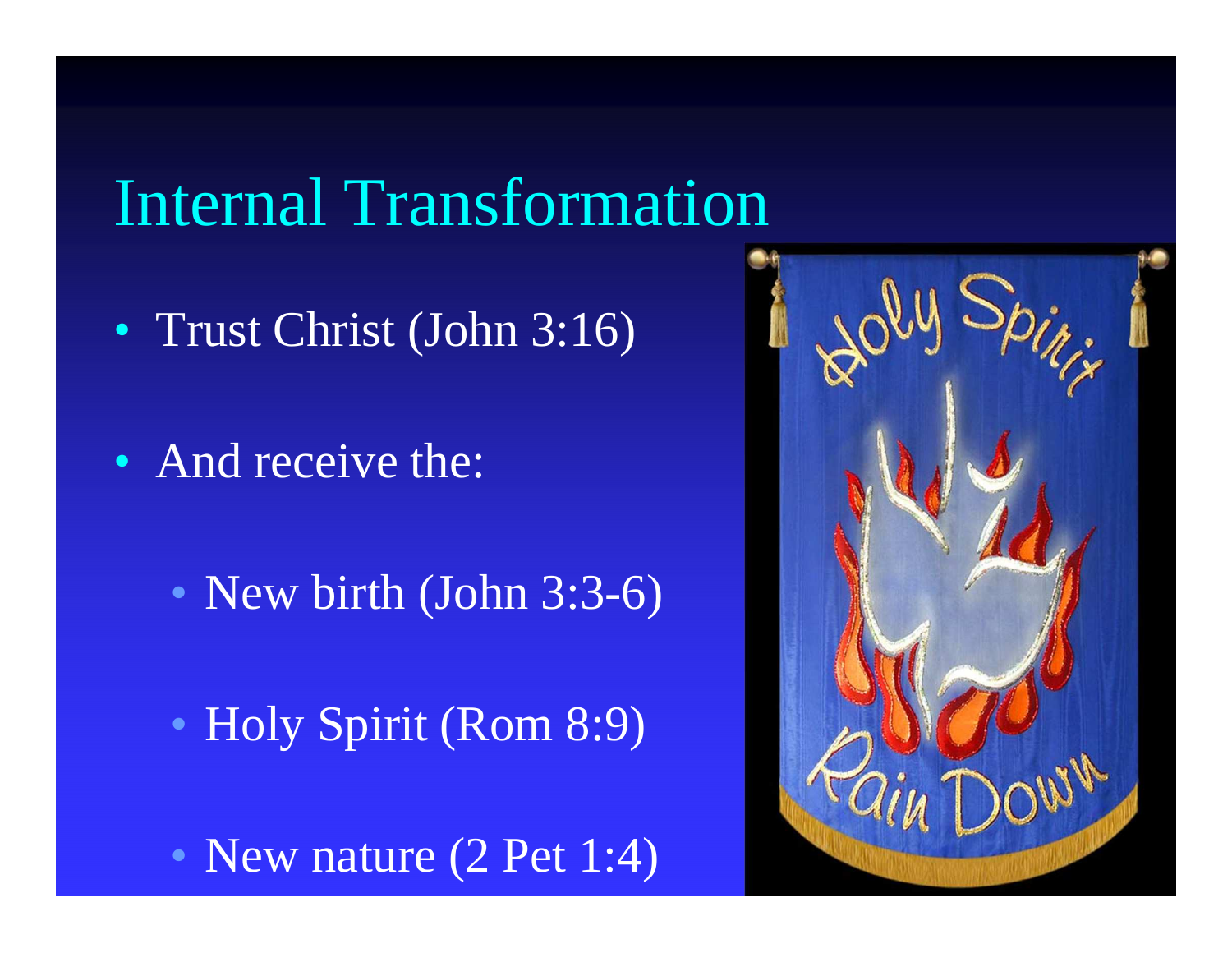#### Internal Transformation

• Trust Christ (John 3:16)

• And receive the:

- New birth (John 3:3-6)
- Holy Spirit (Rom 8:9)
- New nature (2 Pet 1:4)

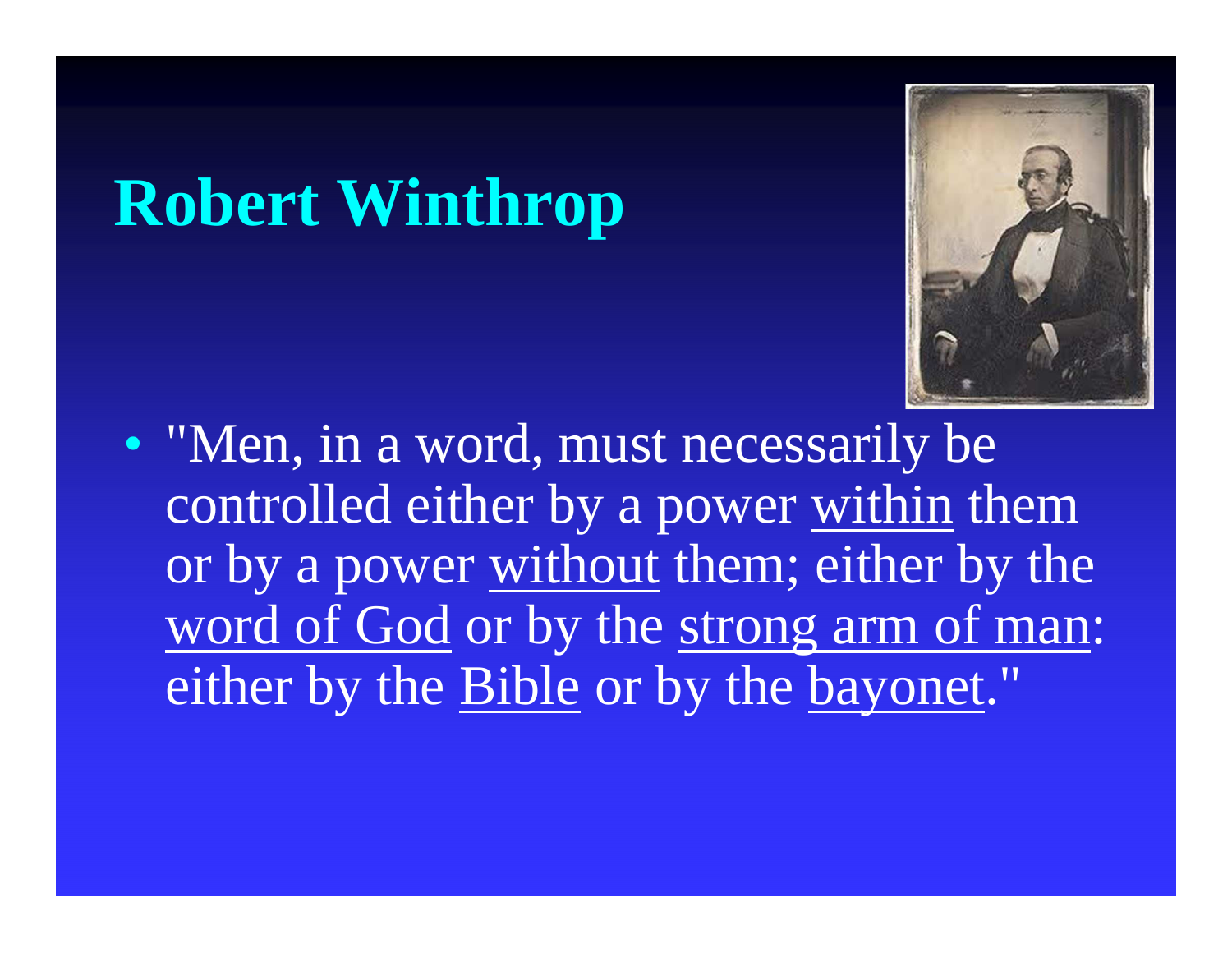### **Robert Winthrop**



• "Men, in a word, must necessarily be controlled either by a power within them or by a power without them; either by the word of God or by the strong arm of man: either by the Bible or by the bayonet."